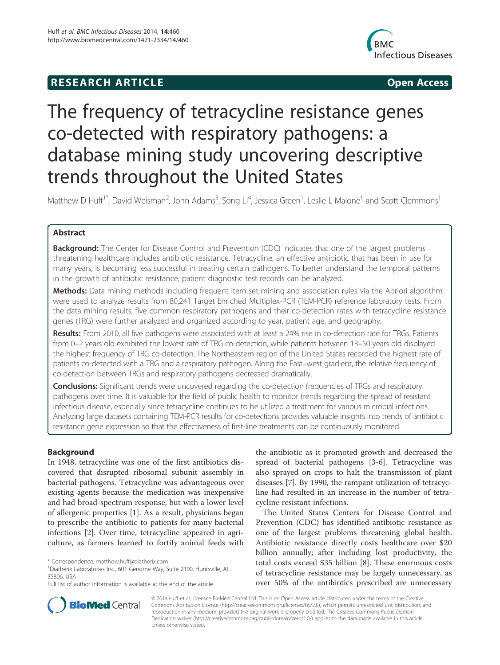# **RESEARCH ARTICLE Example 2014 CONSIDERING CONSIDERING CONSIDERING CONSIDERING CONSIDERING CONSIDERING CONSIDERING CONSIDERING CONSIDERING CONSIDERING CONSIDERING CONSIDERING CONSIDERING CONSIDERING CONSIDERING CONSIDE**



# The frequency of tetracycline resistance genes co-detected with respiratory pathogens: a database mining study uncovering descriptive trends throughout the United States

Matthew D Huff<sup>1\*</sup>, David Weisman<sup>2</sup>, John Adams<sup>3</sup>, Song Li<sup>4</sup>, Jessica Green<sup>1</sup>, Leslie L Malone<sup>1</sup> and Scott Clemmons<sup>1</sup>

# Abstract

**Background:** The Center for Disease Control and Prevention (CDC) indicates that one of the largest problems threatening healthcare includes antibiotic resistance. Tetracycline, an effective antibiotic that has been in use for many years, is becoming less successful in treating certain pathogens. To better understand the temporal patterns in the growth of antibiotic resistance, patient diagnostic test records can be analyzed.

Methods: Data mining methods including frequent item set mining and association rules via the Apriori algorithm were used to analyze results from 80,241 Target Enriched Multiplex-PCR (TEM-PCR) reference laboratory tests. From the data mining results, five common respiratory pathogens and their co-detection rates with tetracycline resistance genes (TRG) were further analyzed and organized according to year, patient age, and geography.

Results: From 2010, all five pathogens were associated with at least a 24% rise in co-detection rate for TRGs. Patients from 0–2 years old exhibited the lowest rate of TRG co-detection, while patients between 13–50 years old displayed the highest frequency of TRG co-detection. The Northeastern region of the United States recorded the highest rate of patients co-detected with a TRG and a respiratory pathogen. Along the East–west gradient, the relative frequency of co-detection between TRGs and respiratory pathogens decreased dramatically.

Conclusions: Significant trends were uncovered regarding the co-detection frequencies of TRGs and respiratory pathogens over time. It is valuable for the field of public health to monitor trends regarding the spread of resistant infectious disease, especially since tetracycline continues to be utilized a treatment for various microbial infections. Analyzing large datasets containing TEM-PCR results for co-detections provides valuable insights into trends of antibiotic resistance gene expression so that the effectiveness of first-line treatments can be continuously monitored.

# Background

In 1948, tetracycline was one of the first antibiotics discovered that disrupted ribosomal subunit assembly in bacterial pathogens. Tetracycline was advantageous over existing agents because the medication was inexpensive and had broad-spectrum response, but with a lower level of allergenic properties [1]. As a result, physicians began to prescribe the antibiotic to patients for many bacterial infections [2]. Over time, tetracycline appeared in agriculture, as farmers learned to fortify animal feeds with the antibiotic as it promoted growth and decreased the spread of bacterial pathogens [3-6]. Tetracycline was also sprayed on crops to halt the transmission of plant diseases [7]. By 1990, the rampant utilization of tetracycline had resulted in an increase in the number of tetracycline resistant infections.

The United States Centers for Disease Control and Prevention (CDC) has identified antibiotic resistance as one of the largest problems threatening global health. Antibiotic resistance directly costs healthcare over \$20 billion annually; after including lost productivity, the total costs exceed \$35 billion [8]. These enormous costs of tetracycline resistance may be largely unnecessary, as over 50% of the antibiotics prescribed are unnecessary



© 2014 Huff et al.; licensee BioMed Central Ltd. This is an Open Access article distributed under the terms of the Creative Commons Attribution License (http://creativecommons.org/licenses/by/2.0), which permits unrestricted use, distribution, and reproduction in any medium, provided the original work is properly credited. The Creative Commons Public Domain Dedication waiver (http://creativecommons.org/publicdomain/zero/1.0/) applies to the data made available in this article, unless otherwise stated.

<sup>\*</sup> Correspondence: matthew.huff@diatherix.com <sup>1</sup>

<sup>&</sup>lt;sup>1</sup> Diatherix Laboratories Inc., 601 Genome Way, Suite 2100, Huntsville, Al 35806, USA

Full list of author information is available at the end of the article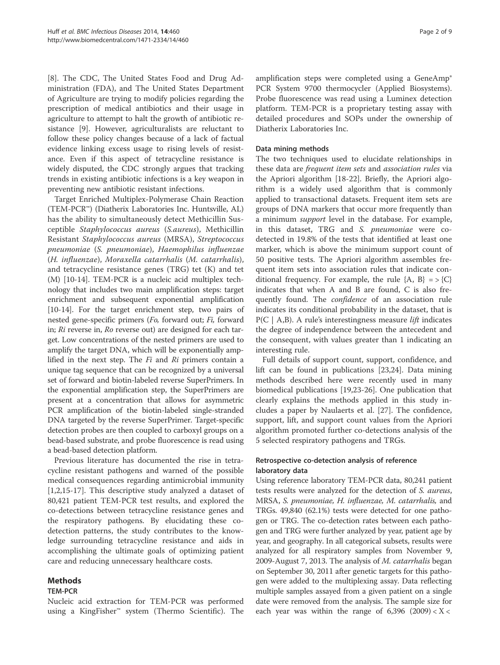[8]. The CDC, The United States Food and Drug Administration (FDA), and The United States Department of Agriculture are trying to modify policies regarding the prescription of medical antibiotics and their usage in agriculture to attempt to halt the growth of antibiotic resistance [9]. However, agriculturalists are reluctant to follow these policy changes because of a lack of factual evidence linking excess usage to rising levels of resistance. Even if this aspect of tetracycline resistance is widely disputed, the CDC strongly argues that tracking trends in existing antibiotic infections is a key weapon in preventing new antibiotic resistant infections.

Target Enriched Multiplex-Polymerase Chain Reaction (TEM-PCR™) (Diatherix Laboratories Inc. Huntsville, AL) has the ability to simultaneously detect Methicillin Susceptible Staphylococcus aureus (S.aureus), Methicillin Resistant Staphylococcus aureus (MRSA), Streptococcus pneumoniae (S. pneumoniae), Haemophilus influenzae (H. influenzae), Moraxella catarrhalis (M. catarrhalis), and tetracycline resistance genes (TRG) tet (K) and tet (M) [10-14]. TEM-PCR is a nucleic acid multiplex technology that includes two main amplification steps: target enrichment and subsequent exponential amplification [10-14]. For the target enrichment step, two pairs of nested gene-specific primers (Fo, forward out; Fi, forward in; Ri reverse in, Ro reverse out) are designed for each target. Low concentrations of the nested primers are used to amplify the target DNA, which will be exponentially amplified in the next step. The  $Fi$  and  $Ri$  primers contain a unique tag sequence that can be recognized by a universal set of forward and biotin-labeled reverse SuperPrimers. In the exponential amplification step, the SuperPrimers are present at a concentration that allows for asymmetric PCR amplification of the biotin-labeled single-stranded DNA targeted by the reverse SuperPrimer. Target-specific detection probes are then coupled to carboxyl groups on a bead-based substrate, and probe fluorescence is read using a bead-based detection platform.

Previous literature has documented the rise in tetracycline resistant pathogens and warned of the possible medical consequences regarding antimicrobial immunity [1,2,15-17]. This descriptive study analyzed a dataset of 80,421 patient TEM-PCR test results, and explored the co-detections between tetracycline resistance genes and the respiratory pathogens. By elucidating these codetection patterns, the study contributes to the knowledge surrounding tetracycline resistance and aids in accomplishing the ultimate goals of optimizing patient care and reducing unnecessary healthcare costs.

# Methods

# TEM-PCR

amplification steps were completed using a GeneAmp® PCR System 9700 thermocycler (Applied Biosystems). Probe fluorescence was read using a Luminex detection platform. TEM-PCR is a proprietary testing assay with detailed procedures and SOPs under the ownership of Diatherix Laboratories Inc.

# Data mining methods

The two techniques used to elucidate relationships in these data are frequent item sets and association rules via the Apriori algorithm [18-22]. Briefly, the Apriori algorithm is a widely used algorithm that is commonly applied to transactional datasets. Frequent item sets are groups of DNA markers that occur more frequently than a minimum support level in the database. For example, in this dataset, TRG and S. pneumoniae were codetected in 19.8% of the tests that identified at least one marker, which is above the minimum support count of 50 positive tests. The Apriori algorithm assembles frequent item sets into association rules that indicate conditional frequency. For example, the rule  ${A, B}$  = > {C} indicates that when A and B are found, C is also frequently found. The *confidence* of an association rule indicates its conditional probability in the dataset, that is  $P(C \mid A,B)$ . A rule's interestingness measure *lift* indicates the degree of independence between the antecedent and the consequent, with values greater than 1 indicating an interesting rule.

Full details of support count, support, confidence, and lift can be found in publications [23,24]. Data mining methods described here were recently used in many biomedical publications [19,23-26]. One publication that clearly explains the methods applied in this study includes a paper by Naulaerts et al. [27]. The confidence, support, lift, and support count values from the Apriori algorithm promoted further co-detections analysis of the 5 selected respiratory pathogens and TRGs.

# Retrospective co-detection analysis of reference laboratory data

Using reference laboratory TEM-PCR data, 80,241 patient tests results were analyzed for the detection of S. aureus, MRSA, S. pneumoniae, H. influenzae, M. catarrhalis, and TRGs. 49,840 (62.1%) tests were detected for one pathogen or TRG. The co-detection rates between each pathogen and TRG were further analyzed by year, patient age by year, and geography. In all categorical subsets, results were analyzed for all respiratory samples from November 9, 2009-August 7, 2013. The analysis of M. catarrhalis began on September 30, 2011 after genetic targets for this pathogen were added to the multiplexing assay. Data reflecting multiple samples assayed from a given patient on a single date were removed from the analysis. The sample size for each year was within the range of  $6,396$  (2009) < X <

Nucleic acid extraction for TEM-PCR was performed using a KingFisher™ system (Thermo Scientific). The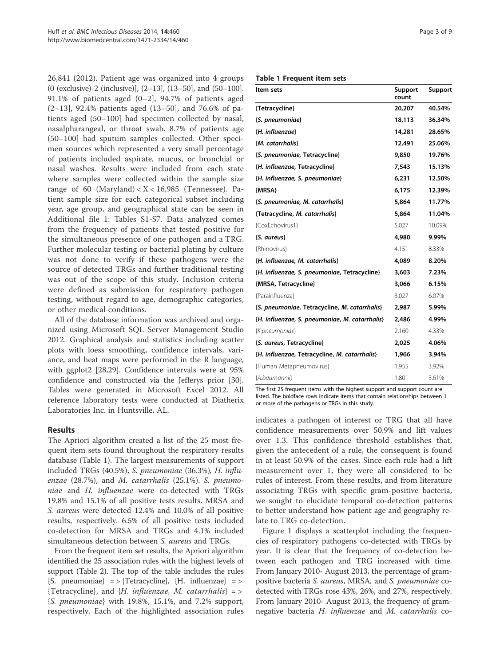26,841 (2012). Patient age was organized into 4 groups (0 (exclusive)-2 (inclusive)], (2–13], (13–50], and (50–100]. 91.1% of patients aged (0–2], 94.7% of patients aged (2–13], 92.4% patients aged (13–50], and 76.6% of patients aged (50–100] had specimen collected by nasal, nasalpharangeal, or throat swab. 8.7% of patients age (50–100] had sputum samples collected. Other specimen sources which represented a very small percentage of patients included aspirate, mucus, or bronchial or nasal washes. Results were included from each state where samples were collected within the sample size range of 60 (Maryland) < $X$  < 16,985 (Tennessee). Patient sample size for each categorical subset including year, age group, and geographical state can be seen in Additional file 1: Tables S1-S7. Data analyzed comes from the frequency of patients that tested positive for the simultaneous presence of one pathogen and a TRG. Further molecular testing or bacterial plating by culture was not done to verify if these pathogens were the source of detected TRGs and further traditional testing was out of the scope of this study. Inclusion criteria were defined as submission for respiratory pathogen testing, without regard to age, demographic categories, or other medical conditions.

All of the database information was archived and organized using Microsoft SQL Server Management Studio 2012. Graphical analysis and statistics including scatter plots with loess smoothing, confidence intervals, variance, and heat maps were performed in the R language, with ggplot2 [28,29]. Confidence intervals were at 95% confidence and constructed via the Jefferys prior [30]. Tables were generated in Microsoft Excel 2012. All reference laboratory tests were conducted at Diatherix Laboratories Inc. in Huntsville, AL.

# Results

The Apriori algorithm created a list of the 25 most frequent item sets found throughout the respiratory results database (Table 1). The largest measurements of support included TRGs (40.5%), S. pneumoniae (36.3%), H. influenzae (28.7%), and M. catarrhalis (25.1%). S. pneumoniae and H. influenzae were co-detected with TRGs 19.8% and 15.1% of all positive tests results. MRSA and S. aureus were detected 12.4% and 10.0% of all positive results, respectively. 6.5% of all positive tests included co-detection for MRSA and TRGs and 4.1% included simultaneous detection between S. aureus and TRGs.

From the frequent item set results, the Apriori algorithm identified the 25 association rules with the highest levels of support (Table 2). The top of the table includes the rules  ${S.$  pneumoniae} = > {Tetracycline}, {H. influenzae} = > {Tetracycline}, and {H. influenzae, M. catarrhalis} => {S. pneumoniae} with 19.8%, 15.1%, and 7.2% support, respectively. Each of the highlighted association rules

#### Table 1 Frequent item sets

| ltem sets                                      | Support<br>count | Support |
|------------------------------------------------|------------------|---------|
| {Tetracycline}                                 | 20,207           | 40.54%  |
| {S. pneumoniae}                                | 18,113           | 36.34%  |
| {H. influenzae}                                | 14,281           | 28.65%  |
| {M. catarrhalis}                               | 12,491           | 25.06%  |
| {S. pneumoniae, Tetracycline}                  | 9,850            | 19.76%  |
| {H. influenzae, Tetracycline}                  | 7,543            | 15.13%  |
| {H. influenzae, S. pneumoniae}                 | 6,231            | 12.50%  |
| {MRSA}                                         | 6,175            | 12.39%  |
| {S. pneumoniae, M. catarrhalis}                | 5,864            | 11.77%  |
| {Tetracycline, M. catarrhalis}                 | 5,864            | 11.04%  |
| {CoxEchovirus1}                                | 5,027            | 10.09%  |
| {S. aureus}                                    | 4,980            | 9.99%   |
| {Rhinovirus}                                   | 4,151            | 8.33%   |
| {H. influenzae, M. catarrhalis}                | 4,089            | 8.20%   |
| {H. influenzae, S. pneumoniae, Tetracycline}   | 3,603            | 7.23%   |
| {MRSA, Tetracycline}                           | 3,066            | 6.15%   |
| {Parainfluenza}                                | 3,027            | 6.07%   |
| {S. pneumoniae, Tetracycline, M. catarrhalis}  | 2,987            | 5.99%   |
| {H. influenzae, S. pneumoniae, M. catarrhalis} | 2,486            | 4.99%   |
| {K.pneumoniae}                                 | 2,160            | 4.33%   |
| {S. aureus, Tetracycline}                      | 2,025            | 4.06%   |
| {H. influenzae, Tetracycline, M. catarrhalis}  | 1,966            | 3.94%   |
| {Human Metapneumovirus}                        | 1,955            | 3.92%   |
| {A.baumannii}                                  | 1,801            | 3.61%   |

The first 25 frequent items with the highest support and support count are listed. The boldface rows indicate items that contain relationships between 1 or more of the pathogens or TRGs in this study.

indicates a pathogen of interest or TRG that all have confidence measurements over 50.9% and lift values over 1.3. This confidence threshold establishes that, given the antecedent of a rule, the consequent is found in at least 50.9% of the cases. Since each rule had a lift measurement over 1, they were all considered to be rules of interest. From these results, and from literature associating TRGs with specific gram-positive bacteria, we sought to elucidate temporal co-detection patterns to better understand how patient age and geography relate to TRG co-detection.

Figure 1 displays a scatterplot including the frequencies of respiratory pathogens co-detected with TRGs by year. It is clear that the frequency of co-detection between each pathogen and TRG increased with time. From January 2010- August 2013, the percentage of grampositive bacteria S. aureus, MRSA, and S. pneumoniae codetected with TRGs rose 43%, 26%, and 27%, respectively. From January 2010- August 2013, the frequency of gramnegative bacteria H. influenzae and M. catarrhalis co-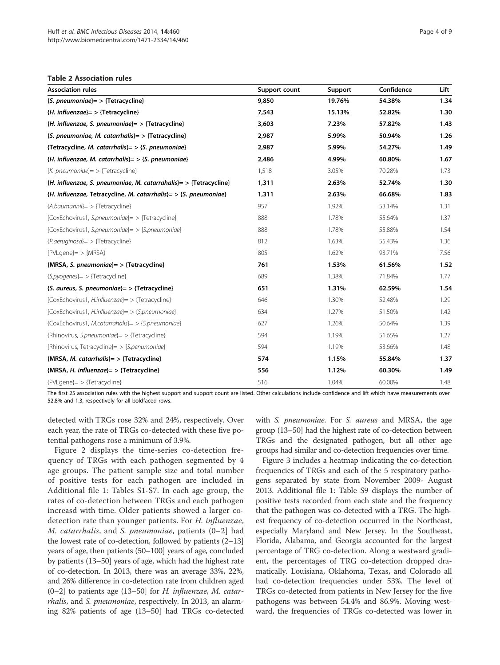#### Table 2 Association rules

| <b>Association rules</b>                                              | Support count | Support | Confidence | Lift |
|-----------------------------------------------------------------------|---------------|---------|------------|------|
| ${S.$ pneumoniae} = > {Tetracycline}                                  | 9,850         | 19.76%  | 54.38%     | 1.34 |
| ${H.}$ influenzae} = > {Tetracycline}                                 | 7,543         | 15.13%  | 52.82%     | 1.30 |
| ${H.}$ influenzae, S. pneumoniae} = > {Tetracycline}                  | 3,603         | 7.23%   | 57.82%     | 1.43 |
| {S. pneumoniae, M. catarrhalis} = > {Tetracycline}                    | 2,987         | 5.99%   | 50.94%     | 1.26 |
| {Tetracycline, <i>M. catarrhalis</i> } = > {S. pneumoniae}            | 2,987         | 5.99%   | 54.27%     | 1.49 |
| ${H.}$ influenzae, M. catarrhalis} = > {S. pneumoniae}                | 2,486         | 4.99%   | 60.80%     | 1.67 |
| ${K.}$ pneumoniae} = > {Tetracycline}                                 | 1,518         | 3.05%   | 70.28%     | 1.73 |
| ${H.}$ influenzae, S. pneumoniae, M. catarrahalis} = > {Tetracycline} | 1,311         | 2.63%   | 52.74%     | 1.30 |
| ${H.}$ influenzae, Tetracycline, M. catarrhalis} = > {S. pneumoniae}  | 1,311         | 2.63%   | 66.68%     | 1.83 |
| {A.baumannii} = > {Tetracycline}                                      | 957           | 1.92%   | 53.14%     | 1.31 |
| {CoxEchovirus1, S.pneumoniae} = > {Tetracycline}                      | 888           | 1.78%   | 55.64%     | 1.37 |
| {CoxEchovirus1, S.pneumoniae} = > {S.pneumoniae}                      | 888           | 1.78%   | 55.88%     | 1.54 |
| ${P}.\naeruginosa$ = > {Tetracycline}                                 | 812           | 1.63%   | 55.43%     | 1.36 |
| ${PVLqene}$ > ${MRSA}$                                                | 805           | 1.62%   | 93.71%     | 7.56 |
| {MRSA, S. pneumoniae} = > {Tetracycline}                              | 761           | 1.53%   | 61.56%     | 1.52 |
| ${S.}pvogenes$ > {Tetracycline}                                       | 689           | 1.38%   | 71.84%     | 1.77 |
| ${S.}$ aureus, S. pneumoniae} = > {Tetracycline}                      | 651           | 1.31%   | 62.59%     | 1.54 |
| {CoxEchovirus1, H.influenzae} = > {Tetracycline}                      | 646           | 1.30%   | 52.48%     | 1.29 |
| {CoxEchovirus1, H.influenzae} = > {S.pneumoniae}                      | 634           | 1.27%   | 51.50%     | 1.42 |
| {CoxEchovirus1, M.catarrahalis} = > {S.pneumoniae}                    | 627           | 1.26%   | 50.64%     | 1.39 |
| {Rhinovirus, S.pneumoniae} = > {Tetracycline}                         | 594           | 1.19%   | 51.65%     | 1.27 |
| {Rhinovirus, Tetracycline} = > {S.penumoniae}                         | 594           | 1.19%   | 53.66%     | 1.48 |
| {MRSA, <i>M. catarrhalis</i> } = > {Tetracycline}                     | 574           | 1.15%   | 55.84%     | 1.37 |
| {MRSA, H. influenzae} = > {Tetracycline}                              | 556           | 1.12%   | 60.30%     | 1.49 |
| ${PVL}$ gene} = > {Tetracycline}                                      | 516           | 1.04%   | 60.00%     | 1.48 |

The first 25 association rules with the highest support and support count are listed. Other calculations include confidence and lift which have measurements over 52.8% and 1.3, respectively for all boldfaced rows.

detected with TRGs rose 32% and 24%, respectively. Over each year, the rate of TRGs co-detected with these five potential pathogens rose a minimum of 3.9%.

Figure 2 displays the time-series co-detection frequency of TRGs with each pathogen segmented by 4 age groups. The patient sample size and total number of positive tests for each pathogen are included in Additional file 1: Tables S1-S7. In each age group, the rates of co-detection between TRGs and each pathogen increasd with time. Older patients showed a larger codetection rate than younger patients. For *H. influenzae*, M. catarrhalis, and S. pneumoniae, patients  $(0-2)$  had the lowest rate of co-detection, followed by patients (2–13] years of age, then patients (50–100] years of age, concluded by patients (13–50] years of age, which had the highest rate of co-detection. In 2013, there was an average 33%, 22%, and 26% difference in co-detection rate from children aged  $(0-2)$  to patients age  $(13-50)$  for H. influenzae, M. catarrhalis, and S. pneumoniae, respectively. In 2013, an alarming 82% patients of age (13–50] had TRGs co-detected with S. pneumoniae. For S. aureus and MRSA, the age group (13–50] had the highest rate of co-detection between TRGs and the designated pathogen, but all other age groups had similar and co-detection frequencies over time.

Figure 3 includes a heatmap indicating the co-detection frequencies of TRGs and each of the 5 respiratory pathogens separated by state from November 2009- August 2013. Additional file 1: Table S9 displays the number of positive tests recorded from each state and the frequency that the pathogen was co-detected with a TRG. The highest frequency of co-detection occurred in the Northeast, especially Maryland and New Jersey. In the Southeast, Florida, Alabama, and Georgia accounted for the largest percentage of TRG co-detection. Along a westward gradient, the percentages of TRG co-detection dropped dramatically. Louisiana, Oklahoma, Texas, and Colorado all had co-detection frequencies under 53%. The level of TRGs co-detected from patients in New Jersey for the five pathogens was between 54.4% and 86.9%. Moving westward, the frequencies of TRGs co-detected was lower in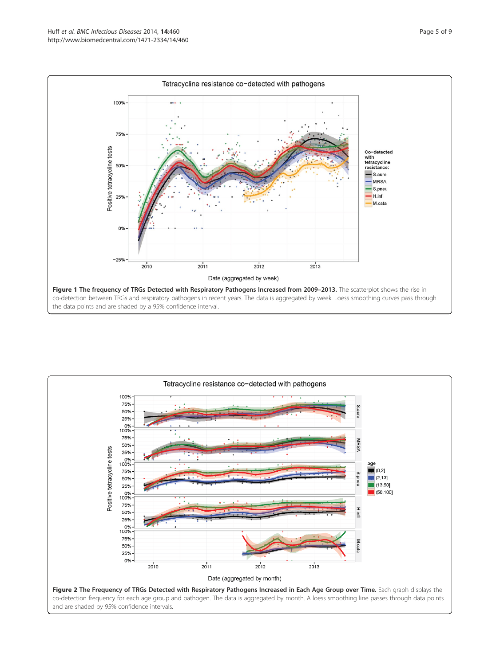

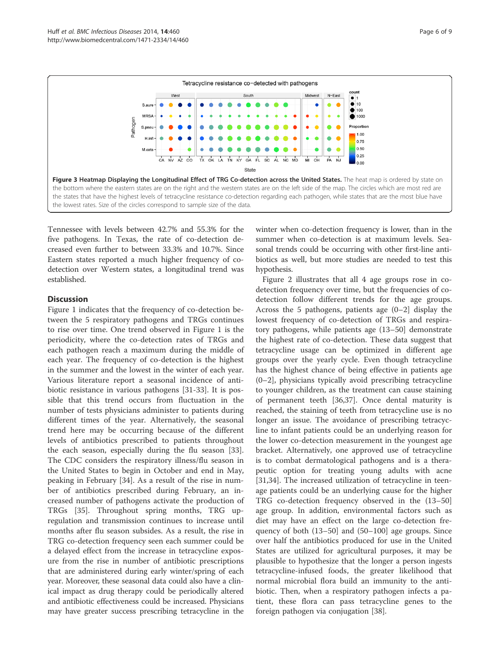

Tennessee with levels between 42.7% and 55.3% for the five pathogens. In Texas, the rate of co-detection decreased even further to between 33.3% and 10.7%. Since Eastern states reported a much higher frequency of codetection over Western states, a longitudinal trend was established.

### **Discussion**

Figure 1 indicates that the frequency of co-detection between the 5 respiratory pathogens and TRGs continues to rise over time. One trend observed in Figure 1 is the periodicity, where the co-detection rates of TRGs and each pathogen reach a maximum during the middle of each year. The frequency of co-detection is the highest in the summer and the lowest in the winter of each year. Various literature report a seasonal incidence of antibiotic resistance in various pathogens [31-33]. It is possible that this trend occurs from fluctuation in the number of tests physicians administer to patients during different times of the year. Alternatively, the seasonal trend here may be occurring because of the different levels of antibiotics prescribed to patients throughout the each season, especially during the flu season [33]. The CDC considers the respiratory illness/flu season in the United States to begin in October and end in May, peaking in February [34]. As a result of the rise in number of antibiotics prescribed during February, an increased number of pathogens activate the production of TRGs [35]. Throughout spring months, TRG upregulation and transmission continues to increase until months after flu season subsides. As a result, the rise in TRG co-detection frequency seen each summer could be a delayed effect from the increase in tetracycline exposure from the rise in number of antibiotic prescriptions that are administered during early winter/spring of each year. Moreover, these seasonal data could also have a clinical impact as drug therapy could be periodically altered and antibiotic effectiveness could be increased. Physicians may have greater success prescribing tetracycline in the

winter when co-detection frequency is lower, than in the summer when co-detection is at maximum levels. Seasonal trends could be occurring with other first-line antibiotics as well, but more studies are needed to test this hypothesis.

Figure 2 illustrates that all 4 age groups rose in codetection frequency over time, but the frequencies of codetection follow different trends for the age groups. Across the 5 pathogens, patients age (0–2] display the lowest frequency of co-detection of TRGs and respiratory pathogens, while patients age (13–50] demonstrate the highest rate of co-detection. These data suggest that tetracycline usage can be optimized in different age groups over the yearly cycle. Even though tetracycline has the highest chance of being effective in patients age (0–2], physicians typically avoid prescribing tetracycline to younger children, as the treatment can cause staining of permanent teeth [36,37]. Once dental maturity is reached, the staining of teeth from tetracycline use is no longer an issue. The avoidance of prescribing tetracycline to infant patients could be an underlying reason for the lower co-detection measurement in the youngest age bracket. Alternatively, one approved use of tetracycline is to combat dermatological pathogens and is a therapeutic option for treating young adults with acne [31,34]. The increased utilization of tetracycline in teenage patients could be an underlying cause for the higher TRG co-detection frequency observed in the (13–50] age group. In addition, environmental factors such as diet may have an effect on the large co-detection frequency of both (13–50] and (50–100] age groups. Since over half the antibiotics produced for use in the United States are utilized for agricultural purposes, it may be plausible to hypothesize that the longer a person ingests tetracycline-infused foods, the greater likelihood that normal microbial flora build an immunity to the antibiotic. Then, when a respiratory pathogen infects a patient, these flora can pass tetracycline genes to the foreign pathogen via conjugation [38].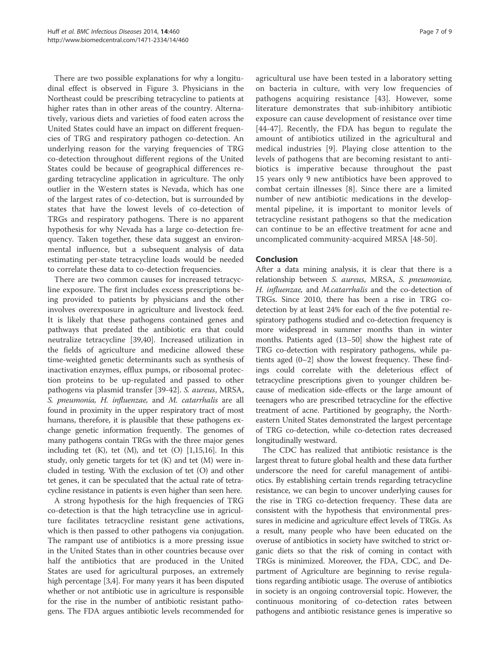There are two possible explanations for why a longitudinal effect is observed in Figure 3. Physicians in the Northeast could be prescribing tetracycline to patients at higher rates than in other areas of the country. Alternatively, various diets and varieties of food eaten across the United States could have an impact on different frequencies of TRG and respiratory pathogen co-detection. An underlying reason for the varying frequencies of TRG co-detection throughout different regions of the United States could be because of geographical differences regarding tetracycline application in agriculture. The only outlier in the Western states is Nevada, which has one of the largest rates of co-detection, but is surrounded by states that have the lowest levels of co-detection of TRGs and respiratory pathogens. There is no apparent hypothesis for why Nevada has a large co-detection frequency. Taken together, these data suggest an environmental influence, but a subsequent analysis of data estimating per-state tetracycline loads would be needed to correlate these data to co-detection frequencies.

There are two common causes for increased tetracycline exposure. The first includes excess prescriptions being provided to patients by physicians and the other involves overexposure in agriculture and livestock feed. It is likely that these pathogens contained genes and pathways that predated the antibiotic era that could neutralize tetracycline [39,40]. Increased utilization in the fields of agriculture and medicine allowed these time-weighted genetic determinants such as synthesis of inactivation enzymes, efflux pumps, or ribosomal protection proteins to be up-regulated and passed to other pathogens via plasmid transfer [39-42]. S. aureus, MRSA, S. pneumonia, H. influenzae, and M. catarrhalis are all found in proximity in the upper respiratory tract of most humans, therefore, it is plausible that these pathogens exchange genetic information frequently. The genomes of many pathogens contain TRGs with the three major genes including tet  $(K)$ , tet  $(M)$ , and tet  $(O)$   $[1,15,16]$ . In this study, only genetic targets for tet  $(K)$  and tet  $(M)$  were included in testing. With the exclusion of tet (O) and other tet genes, it can be speculated that the actual rate of tetracycline resistance in patients is even higher than seen here.

A strong hypothesis for the high frequencies of TRG co-detection is that the high tetracycline use in agriculture facilitates tetracycline resistant gene activations, which is then passed to other pathogens via conjugation. The rampant use of antibiotics is a more pressing issue in the United States than in other countries because over half the antibiotics that are produced in the United States are used for agricultural purposes, an extremely high percentage [3,4]. For many years it has been disputed whether or not antibiotic use in agriculture is responsible for the rise in the number of antibiotic resistant pathogens. The FDA argues antibiotic levels recommended for

agricultural use have been tested in a laboratory setting on bacteria in culture, with very low frequencies of pathogens acquiring resistance [43]. However, some literature demonstrates that sub-inhibitory antibiotic exposure can cause development of resistance over time [44-47]. Recently, the FDA has begun to regulate the amount of antibiotics utilized in the agricultural and medical industries [9]. Playing close attention to the levels of pathogens that are becoming resistant to antibiotics is imperative because throughout the past 15 years only 9 new antibiotics have been approved to combat certain illnesses [8]. Since there are a limited number of new antibiotic medications in the developmental pipeline, it is important to monitor levels of tetracycline resistant pathogens so that the medication can continue to be an effective treatment for acne and uncomplicated community-acquired MRSA [48-50].

# Conclusion

After a data mining analysis, it is clear that there is a relationship between S. aureus, MRSA, S. pneumoniae, H. influenzae, and M.catarrhalis and the co-detection of TRGs. Since 2010, there has been a rise in TRG codetection by at least 24% for each of the five potential respiratory pathogens studied and co-detection frequency is more widespread in summer months than in winter months. Patients aged (13–50] show the highest rate of TRG co-detection with respiratory pathogens, while patients aged (0–2] show the lowest frequency. These findings could correlate with the deleterious effect of tetracycline prescriptions given to younger children because of medication side-effects or the large amount of teenagers who are prescribed tetracycline for the effective treatment of acne. Partitioned by geography, the Northeastern United States demonstrated the largest percentage of TRG co-detection, while co-detection rates decreased longitudinally westward.

The CDC has realized that antibiotic resistance is the largest threat to future global health and these data further underscore the need for careful management of antibiotics. By establishing certain trends regarding tetracycline resistance, we can begin to uncover underlying causes for the rise in TRG co-detection frequency. These data are consistent with the hypothesis that environmental pressures in medicine and agriculture effect levels of TRGs. As a result, many people who have been educated on the overuse of antibiotics in society have switched to strict organic diets so that the risk of coming in contact with TRGs is minimized. Moreover, the FDA, CDC, and Department of Agriculture are beginning to revise regulations regarding antibiotic usage. The overuse of antibiotics in society is an ongoing controversial topic. However, the continuous monitoring of co-detection rates between pathogens and antibiotic resistance genes is imperative so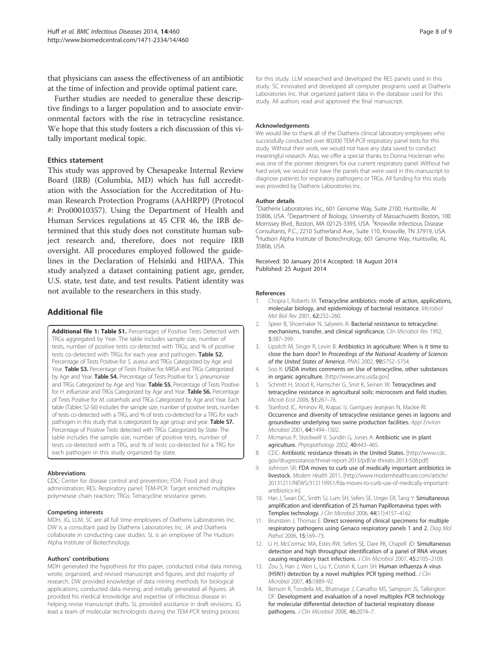that physicians can assess the effectiveness of an antibiotic at the time of infection and provide optimal patient care.

Further studies are needed to generalize these descriptive findings to a larger population and to associate environmental factors with the rise in tetracycline resistance. We hope that this study fosters a rich discussion of this vitally important medical topic.

#### Ethics statement

This study was approved by Chesapeake Internal Review Board (IRB) (Columbia, MD) which has full accreditation with the Association for the Accreditation of Human Research Protection Programs (AAHRPP) (Protocol #: Pro00010357). Using the Department of Health and Human Services regulations at 45 CFR 46, the IRB determined that this study does not constitute human subject research and, therefore, does not require IRB oversight. All procedures employed followed the guidelines in the Declaration of Helsinki and HIPAA. This study analyzed a dataset containing patient age, gender, U.S. state, test date, and test results. Patient identity was not available to the researchers in this study.

# Additional file

Additional file 1: Table S1. Percentages of Positive Tests Detected with TRGs aggregated by Year. The table includes sample size, number of tests, number of positive tests co-detected with TRGs, and % of positive tests co-detected with TRGs for each year and pathogen. Table S2. Percentage of Tests Positive for S. aureus and TRGs Categorized by Age and Year. Table S3. Percentage of Tests Positive for MRSA and TRGs Categorized by Age and Year. Table S4. Percentage of Tests Positive for S. pneumoniae and TRGs Categorized by Age and Year. Table S5. Percentage of Tests Positive for H. influenzae and TRGs Categorized by Age and Year. Table S6. Percentage of Tests Positive for M. catarrhalis and TRGs Categorized by Age and Year. Each table (Tables S2-S6) includes the sample size, number of positive tests, number of tests co-detected with a TRG, and % of tests co-detected for a TRG for each pathogen in this study that is categorized by age group and year. Table S7. Percentage of Positive Tests detected with TRGs Categorized by State. The table includes the sample size, number of positive tests, number of tests co-detected with a TRG, and % of tests co-detected for a TRG for each pathogen in this study organized by state.

#### Abbreviations

CDC: Center for disease control and prevention; FDA: Food and drug administration; RES: Respiratory panel; TEM-PCR: Target enriched multiplex polymerase chain reaction; TRGs: Tetracycline resistance genes.

#### Competing interests

MDH, JG, LLM, SC are all full time employees of Diatherix Laboratories Inc. DW is a consultant paid by Diatherix Laboratories Inc. JA and Diatherix collaborate in conducting case studies. SL is an employee of The Hudson Alpha Institute of Biotechnology.

#### Authors' contributions

MDH generated the hypothesis for this paper, conducted initial data mining, wrote, organized, and revised manuscript and figures, and did majority of research. DW provided knowledge of data mining methods for biological applications, conducted data mining, and initially generated all figures. JA provided his medical knowledge and expertise of infectious disease in helping revise manuscript drafts. SL provided assistance in draft revisions. JG lead a team of molecular technologists during the TEM-PCR testing process

for this study. LLM researched and developed the RES panels used in this study. SC innovated and developed all computer programs used at Diatherix Laboratories Inc. that organized patient data in the database used for this study. All authors read and approved the final manuscript.

#### Acknowledgements

We would like to thank all of the Diatherix clinical laboratory employees who successfully conducted over 80,000 TEM-PCR respiratory panel tests for this study. Without their work, we would not have any data saved to conduct meaningful research. Also, we offer a special thanks to Donna Hockman who was one of the pioneer designers for our current respiratory panel. Without her hard work, we would not have the panels that were used in this manuscript to diagnose patients for respiratory pathogens or TRGs. All funding for this study was provided by Diatherix Laboratories Inc.

#### Author details

<sup>1</sup> Diatherix Laboratories Inc., 601 Genome Way, Suite 2100, Huntsville, A 35806, USA. <sup>2</sup>Department of Biology, University of Massachusetts Boston, 100 Morrissey Blvd., Boston, MA 02125-3393, USA. <sup>3</sup>Knoxville Infectious Disease Consultants, P.C., 2210 Sutherland Ave., Suite 110, Knoxville, TN 37919, USA. 4 Hudson Alpha Institute of Biotechnology, 601 Genome Way, Huntsville, AL 35806, USA.

#### Received: 30 January 2014 Accepted: 18 August 2014 Published: 25 August 2014

#### References

- Chopra I, Roberts M: Tetracycline antibiotics: mode of action, applications, molecular biology, and epidemiology of bacterial resistance. Microbiol Mol Biol Rev 2001, 62:232–260.
- 2. Speer B, Shoemaker N, Salyeers A: Bacterial resistance to tetracycline: mechanisms, transfer, and clinical significance. Clin Microbiol Rev 1992, 5:387–399.
- 3. Lipsitch M, Singer R, Levin B: Antibiotics in agriculture: When is it time to close the barn door? In Proceedings of the National Academy of Sciences of the United States of America. PNAS 2002, 99:5752–5754.
- 4. Soo K: USDA invites comments on Use of tetracycline, other substances in organic agriculture. [http://www.ams.usda.gov]
- Schmitt H, Stood K, Hamscher G, Smit K, Seinen W: Tetracyclines and tetracycline resistance in agricultural soils: microcosm and field studies. Microb Ecol 2006, 51:267–76.
- 6. Stanford JC, Aminov RI, Krapac IJ, Garrigues-Jeanjean N, Mackie RI: Occurrence and diversity of tetracycline resistance genes in lagoons and groundwater underlying two swine production facilities. Appl Environ Microbiol 2001, 64:1494–1502.
- 7. Mcmanus P, Stockwell V, Sundin G, Jones A: Antibiotic use in plant agriculture. Phytopathology 2002, 40:443–465.
- 8. CDC: Antibiotic resistance threats in the United States. [http://www.cdc. gov/drugresistance/threat-report-2013/pdf/ar-threats-2013-508.pdf]
- 9. Johnson SR: FDA moves to curb use of medically important antibiotics in livestock. Modern Health 2011, [http://www.modernhealthcare.com/article/ 20131211/NEWS/312119951/fda-moves-to-curb-use-of-medically-importantantibiotics-in]
- 10. Han J, Swan DC, Smith SJ, Lum SH, Sefers SE, Unger ER, Tang Y: Simultaneous amplification and identification of 25 human Papillomavirus types with Templex technology. J Clin Microbiol 2006, 44(11):4157–4162.
- 11. Brunstein J, Thomas E: Direct screening of clinical specimens for multiple respiratory pathogens using Genaco respiratory panels 1 and 2. Diag Mol Pathol 2006, 15:169–73.
- 12. Li H, McCormac MA, Estes RW, Sefers SE, Dare RK, Chapell JD: Simultaneous detection and high throughput identification of a panel of RNA viruses causing respiratory tract infections. J Clin Microbiol 2007, 45:2105–2109.
- 13. Zou S, Han J, Wen L, Liu Y, Cronin K, Lum SH: Human influenza A virus (H5N1) detection by a novel multiplex PCR typing method. J Clin Microbiol 2007, 45:1889–92.
- 14. Benson R, Tondella ML, Bhatnagar J, Carvalho MS, Sampson JS, Talkington DF: Development and evaluation of a novel multiplex PCR technology for molecular differential detection of bacterial respiratory disease pathogens. J Clin Microbiol 2008, 46:2074-7.